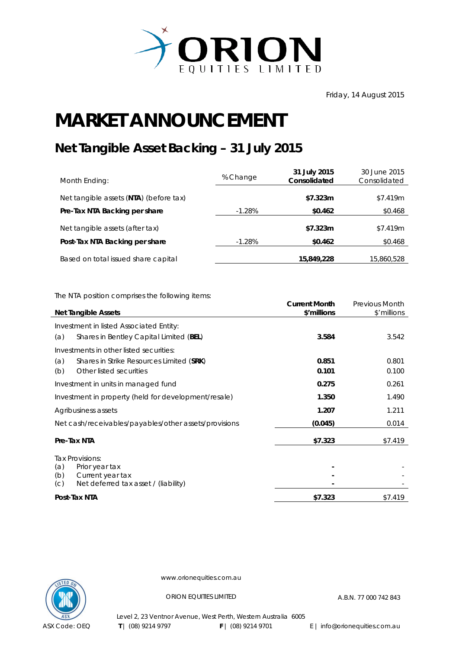

Friday, 14 August 2015

## **MARKET ANNOUNCEMENT**

## **Net Tangible Asset Backing – 31 July 2015**

| Month Ending:                          | % Change | 31 July 2015<br>Consolidated | 30 June 2015<br>Consolidated |
|----------------------------------------|----------|------------------------------|------------------------------|
| Net tangible assets (NTA) (before tax) |          | \$7.323m                     | \$7.419m                     |
| Pre-Tax NTA Backing per share          | $-1.28%$ | \$0.462                      | \$0.468                      |
| Net tangible assets (after tax)        |          | \$7.323m                     | \$7.419m                     |
| Post-Tax NTA Backing per share         | $-1.28%$ | \$0.462                      | \$0.468                      |
| Based on total issued share capital    |          | 15,849,228                   | 15,860,528                   |

The NTA position comprises the following items:

| <b>Net Tangible Assets</b>                                             | <b>Current Month</b><br>\$'millions | Previous Month<br>\$'millions |
|------------------------------------------------------------------------|-------------------------------------|-------------------------------|
| Investment in listed Associated Entity:                                |                                     |                               |
| Shares in Bentley Capital Limited (BEL)<br>(a)                         | 3.584                               | 3.542                         |
| Investments in other listed securities:                                |                                     |                               |
| (a)<br>Shares in Strike Resources Limited (SRK)                        | 0.851                               | 0.801                         |
| Other listed securities<br>(b)                                         | 0.101                               | 0.100                         |
| Investment in units in managed fund                                    | 0.275                               | 0.261                         |
| Investment in property (held for development/resale)                   | 1.350                               | 1.490                         |
| Agribusiness assets                                                    | 1.207                               | 1.211                         |
| Net cash/receivables/payables/other assets/provisions                  | (0.045)                             | 0.014                         |
| Pre-Tax NTA                                                            | \$7.323                             | \$7.419                       |
| Tax Provisions:                                                        |                                     |                               |
| (a)<br>Prior year tax                                                  |                                     |                               |
| (b)<br>Current year tax<br>Net deferred tax asset / (liability)<br>(C) |                                     |                               |
| Post-Tax NTA                                                           | \$7.323                             | \$7.419                       |



www.orionequities.com.au

ORION EQUITIES LIMITED A.B.N. 77 000 742 843

Level 2, 23 Ventnor Avenue, West Perth, Western Australia 6005 **T** | (08) 9214 9797 **F** | (08) 9214 9701 E | info@orionequities.com.au